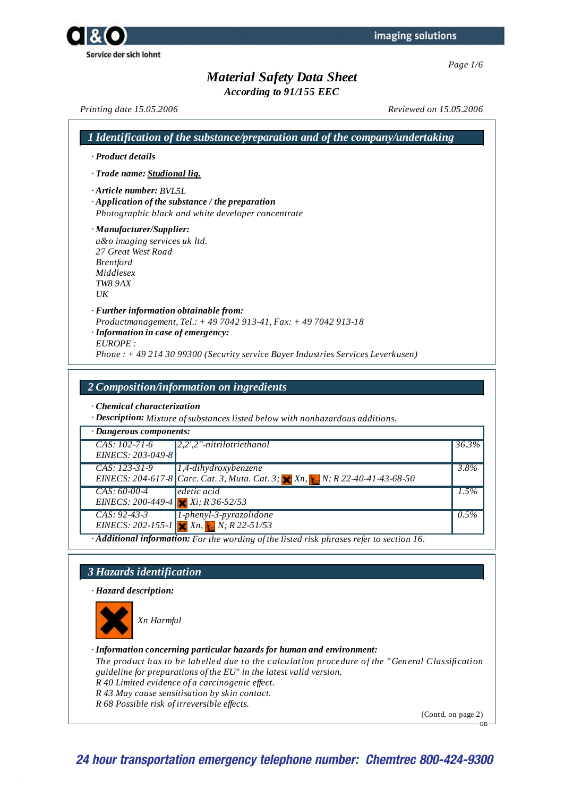*According to 91/155 EEC*

*Printing date 15.05.2006 Reviewed on 15.05.2006*

| · Product details                                                                                                                                   |                                                                                                                                                  |
|-----------------------------------------------------------------------------------------------------------------------------------------------------|--------------------------------------------------------------------------------------------------------------------------------------------------|
| · Trade name: Studional lig.                                                                                                                        |                                                                                                                                                  |
| Article number: RVL5L.<br>$\cdot$ Application of the substance / the preparation                                                                    | Photographic black and white developer concentrate                                                                                               |
| · Manufacturer/Supplier:<br>a&o imaging services uk ltd.<br>27 Great West Road<br><b>Brentford</b><br>Middlesex<br><b>TW8 9AX</b><br>$U\mathcal{K}$ |                                                                                                                                                  |
| $\cdot$ Further information obtainable from:<br>· Information in case of emergency:<br>EUROPE:                                                      | Productmanagement, Tel.: +49 7042 913-41, Fax: +49 7042 913-18<br>Phone: $+492143099300$ (Security service Bayer Industries Services Leverkusen) |

*· Chemical characterization*

*· Description: Mixture ofsubstances listed below with nonhazardous additions.*

| · Dangerous components:                               |                                                                                                           |          |
|-------------------------------------------------------|-----------------------------------------------------------------------------------------------------------|----------|
| $CAS: 102-71-6$<br>EINECS: 203-049-8                  | $ 2,2$ ',2''-nitrilotriethanol                                                                            | $36.3\%$ |
| $CAS: 123-31-9$                                       | $ 1,4$ -dihydroxybenzene<br>EINECS: 204-617-8 Carc. Cat. 3, Muta. Cat. 3; X Xn, L, N; R 22-40-41-43-68-50 | 3.8%     |
| $CAS: 60-00-4$<br>EINECS: 200-449-4 $Xi$ ; R 36-52/53 | edetic acid                                                                                               | $1.5\%$  |
| $CAS: 92-43-3$<br>$\overline{AB}$                     | $1$ -phenyl-3-pyrazolidone<br>EINECS: 202-155-1 $X_n$ , $Y_n$ , $R$ 22-51/53                              | $0.5\%$  |

*· Additional information: For the wording of the listed risk phrases refer to section 16.*

### *3 Hazards identification*

*· Hazard description:*



*Xn Harmful*

#### *· Information concerning particular hazards for human and environment:*

*The product has to be labelled due to the calculation procedure of the "General Classification guideline for preparations of the EU" in the latest valid version. R 40 Limited evidence of a carcinogenic ef ect.*

- *R 43 May cause sensitisation by skin contact.*
- *R 68 Possible risk of irreversible ef ects.*

(Contd. on page 2)

 $GB -$ 

# **24 hour transportation emergency telephone number: Chemtrec 800-424-9300**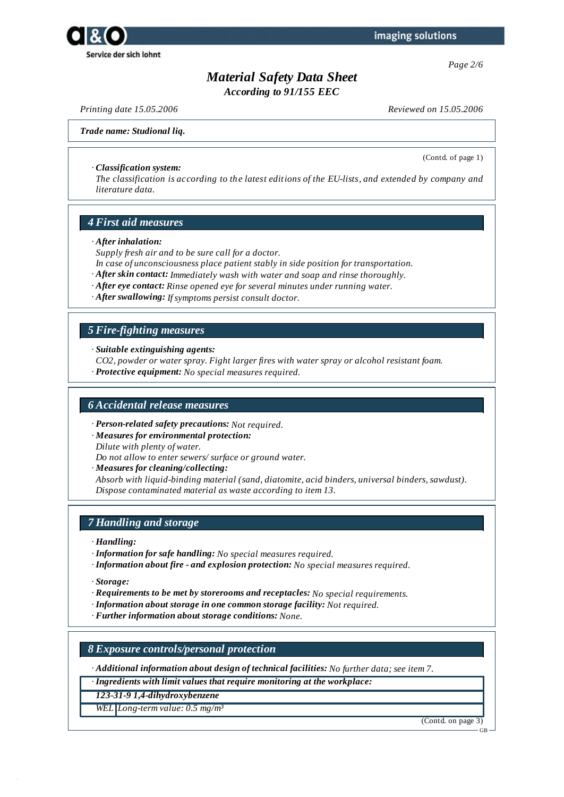



*According to 91/155 EEC*

*Printing date 15.05.2006 Reviewed on 15.05.2006*

(Contd. of page 1)

#### *Trade name: Studional liq.*

#### *· Classification system:*

*The classification is according to the latest editions of the EU-lists, and extended by company and literature data.*

### *4 First aid measures*

#### *· After inhalation:*

*Supply fresh air and to be sure call for a doctor.*

- *In case of unconsciousness place patient stably in side position for transportation.*
- *· After skin contact: Immediately wash with water and soap and rinse thoroughly.*
- *· After eye contact: Rinse opened eye for several minutes under running water.*
- *· After swallowing: Ifsymptoms persist consult doctor.*

### *5 Fire-fighting measures*

*· Suitable extinguishing agents:*

- *CO2, powder or water spray. Fight larger fires with water spray or alcohol resistant foam.*
- *· Protective equipment: No special measures required.*

### *6 Accidental release measures*

- *· Person-related safety precautions: Not required.*
- *· Measures for environmental protection:*

*Dilute with plenty of water.*

*Do not allow to enter sewers/ surface or ground water.*

*· Measures for cleaning/collecting:*

*Absorb with liquid-binding material (sand, diatomite, acid binders, universal binders, sawdust). Dispose contaminated material as waste according to item 13.*

### *7 Handling and storage*

*· Handling:*

- *· Information for safe handling: No special measures required.*
- *· Information about fire - and explosion protection: No special measures required.*

*· Storage:*

- *· Requirements to be met by storerooms and receptacles: No special requirements.*
- *· Information about storage in one common storage facility: Not required.*
- *· Further information about storage conditions: None.*

*8 Exposure controls/personal protection*

*· Additional information about design of technical facilities: No further data; see item 7.*

*· Ingredients with limit values that require monitoring at the workplace:*

*123-31-9 1,4-dihydroxybenzene*

*WEL Long-term value: 0.5 mg/m³*

(Contd. on page 3)

GB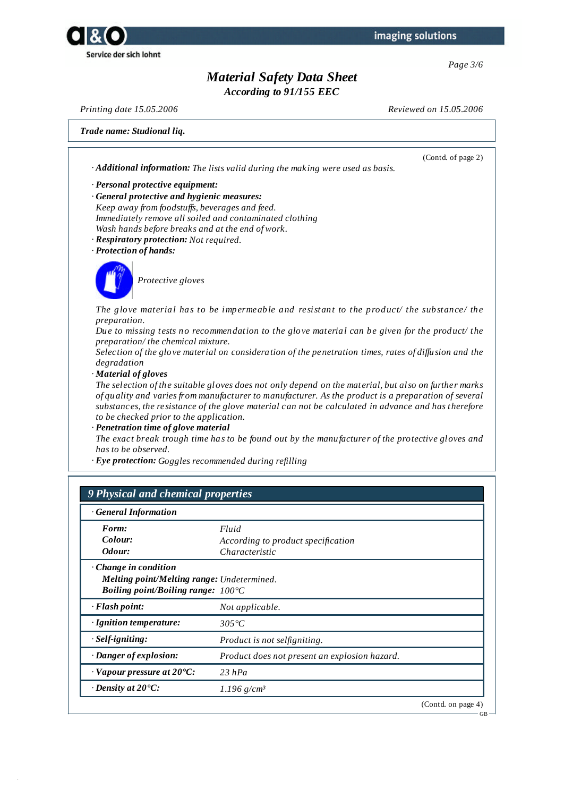



*According to 91/155 EEC*

*Printing date 15.05.2006 Reviewed on 15.05.2006*

(Contd. of page 2)

GB

### *Trade name: Studional liq.*

*· Additional information: The lists valid during the making were used as basis.*

- *· Personal protective equipment:*
- *· General protective and hygienic measures: Keep away from foodstufs, beverages and feed. Immediately remove all soiled and contaminated clothing Wash hands before breaks and at the end of work.*
- *· Respiratory protection: Not required.*
- *· Protection of hands:*



*Protective gloves*

*The glove material has to be impermeable and resistant to the product/ the substance/ the preparation.*

*Due to missing tests no recommendation to the glove material can be given for the product/ the preparation/ the chemical mixture.*

*Selection of the glove material on consideration of the penetration times, rates of dif usion and the degradation*

*· Material of gloves*

The selection of the suitable gloves does not only depend on the material, but also on further marks *of quality and varies from manufacturer to manufacturer. As the product is a preparation of several substances, the resistance of the glove material can not be calculated in advance and has therefore to be checked prior to the application.*

*· Penetration time of glove material*

*The exact break trough time has to be found out by the manufacturer of the protective gloves and has to be observed.*

*· Eye protection: Goggles recommended during refilling*

### *9 Physical and chemical properties*

| <b>General Information</b>                          |                                               |                    |
|-----------------------------------------------------|-----------------------------------------------|--------------------|
| Form:                                               | Fluid                                         |                    |
| Colour:                                             | According to product specification            |                    |
| Odour:                                              | Characteristic                                |                    |
| $\cdot$ Change in condition                         |                                               |                    |
| Melting point/Melting range: Undetermined.          |                                               |                    |
| <i>Boiling point/Boiling range:</i> $100^{\circ}$ C |                                               |                    |
| $\cdot$ Flash point:                                | Not applicable.                               |                    |
| · Ignition temperature:                             | $305^{\circ}C$                                |                    |
| $·$ <i>Self-igniting:</i>                           | Product is not selfigniting.                  |                    |
| · Danger of explosion:                              | Product does not present an explosion hazard. |                    |
| $\cdot$ Vapour pressure at 20 $\cdot$ C:            | $23$ hPa                                      |                    |
| $\cdot$ Density at 20°C:                            | $1.196$ g/cm <sup>3</sup>                     |                    |
|                                                     |                                               | (Contd. on page 4) |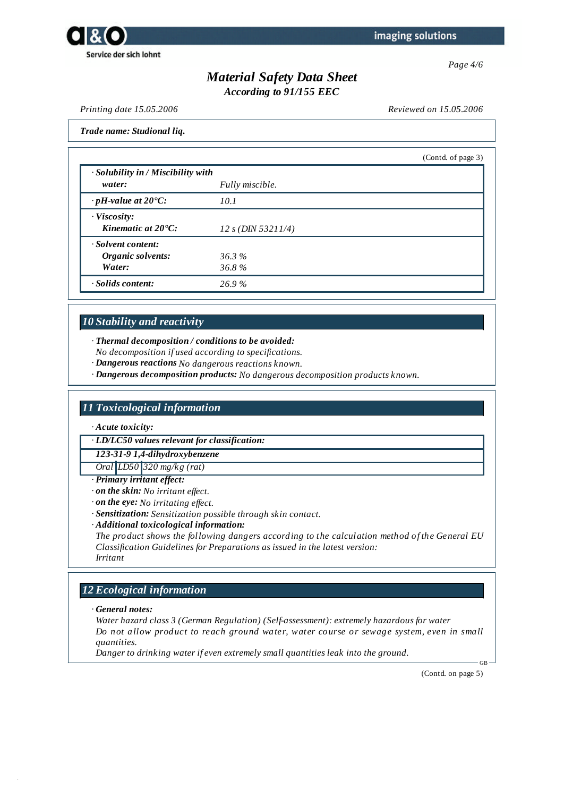



*According to 91/155 EEC*

*Printing date 15.05.2006 Reviewed on 15.05.2006*

*Trade name: Studional liq.*

|                                              |                      | (Contd. of page 3) |
|----------------------------------------------|----------------------|--------------------|
| · Solubility in / Miscibility with<br>water: | Fully miscible.      |                    |
| $\cdot$ pH-value at 20 $\textdegree$ C:      | 10.1                 |                    |
| $\cdot$ Viscosity:                           |                      |                    |
| Kinematic at $20^{\circ}$ C:                 | $12 s$ (DIN 53211/4) |                    |
| · Solvent content:                           |                      |                    |
| Organic solvents:                            | 36.3%                |                    |
| Water:                                       | 36.8%                |                    |
| · Solids content:                            | 26.9%                |                    |

## *10 Stability and reactivity*

*· Thermal decomposition / conditions to be avoided:*

*No decomposition if used according to specifications.*

*· Dangerous reactions No dangerous reactions known.*

*· Dangerous decomposition products: No dangerous decomposition products known.*

## *11 Toxicological information*

*· Acute toxicity:*

*· LD/LC50 values relevant for classification:*

*123-31-9 1,4-dihydroxybenzene*

*Oral LD50 320 mg/kg (rat)*

*· Primary irritant effect:*

*· on the skin: No irritant ef ect.*

*· on the eye: No irritating ef ect.*

*· Sensitization: Sensitization possible through skin contact.*

*· Additional toxicological information:*

*The product shows the following dangers according to the calculation method of the General EU Classification Guidelines for Preparations as issued in the latest version: Irritant*

## *12 Ecological information*

*· General notes:*

*Water hazard class 3 (German Regulation) (Self-assessment): extremely hazardous for water Do not allow product to reach ground water, water course or sewage system, even in small quantities.*

*Danger to drinking water if even extremely small quantities leak into the ground.*

(Contd. on page 5)

GB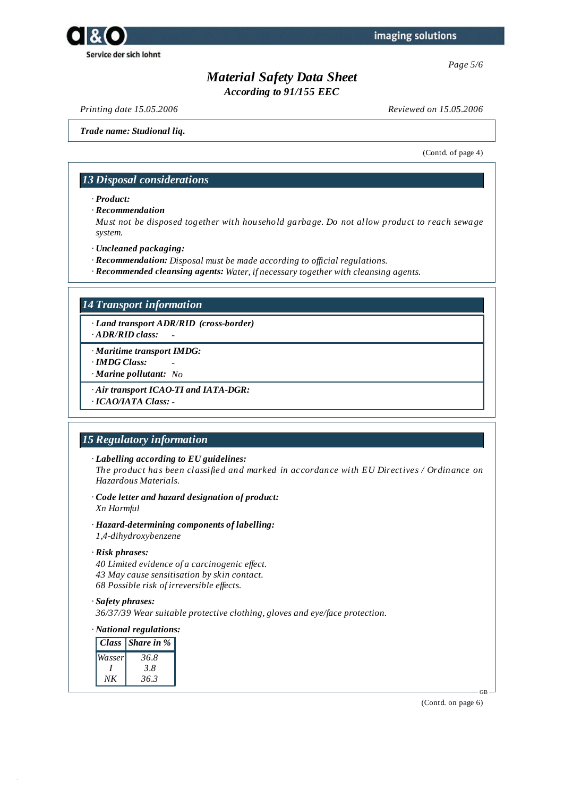

*Page 5/6*

# *Material Safety Data Sheet*

*According to 91/155 EEC*

*Printing date 15.05.2006 Reviewed on 15.05.2006*

*Trade name: Studional liq.*

(Contd. of page 4)

### *13 Disposal considerations*

*· Product:*

*· Recommendation*

*Must not be disposed together with household garbage. Do not allow product to reach sewage system.*

- *· Uncleaned packaging:*
- *· Recommendation: Disposal must be made according to of icial regulations.*
- *· Recommended cleansing agents: Water, if necessary together with cleansing agents.*

### *14 Transport information*

*· Land transport ADR/RID (cross-border)*

- *· ADR/RID class: -*
- *· Maritime transport IMDG:*
- *· IMDG Class: -*
- *· Marine pollutant: No*
- *· Air transport ICAO-TI and IATA-DGR:*

*· ICAO/IATA Class: -*

### *15 Regulatory information*

*· Labelling according to EU guidelines:*

*The product has been classified and marked in accordance with EU Directives / Ordinance on Hazardous Materials.*

- *· Code letter and hazard designation of product: Xn Harmful*
- *· Hazard-determining components of labelling: 1,4-dihydroxybenzene*
- *· Risk phrases:*

*40 Limited evidence of a carcinogenic ef ect. 43 May cause sensitisation by skin contact. 68 Possible risk of irreversible ef ects.*

#### *· Safety phrases:*

*36/37/39 Wear suitable protective clothing, gloves and eye/face protection.*

### *· National regulations:*

|        | Class Share in $\%$ |
|--------|---------------------|
| Wasser | 36.8                |
|        | 3.8                 |
| ΝK     | 36.3                |

(Contd. on page 6)

GB